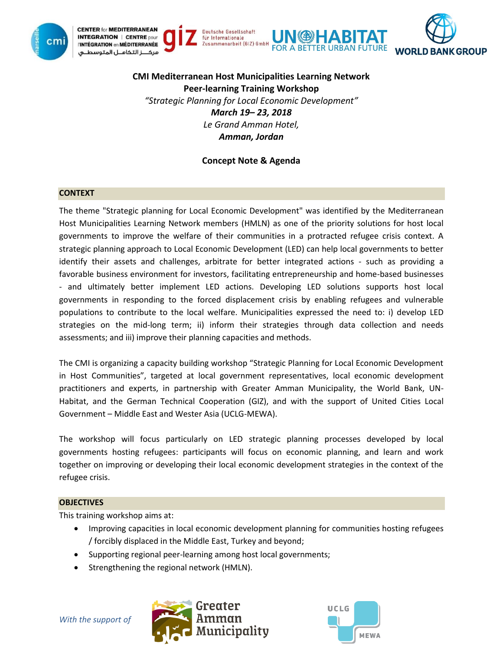



**CMI Mediterranean Host Municipalities Learning Network Peer-learning Training Workshop** *"Strategic Planning for Local Economic Development" March 19– 23, 2018 Le Grand Amman Hotel, Amman, Jordan*

# **Concept Note & Agenda**

## **CONTEXT**

The theme "Strategic planning for Local Economic Development" was identified by the Mediterranean Host Municipalities Learning Network members (HMLN) as one of the priority solutions for host local governments to improve the welfare of their communities in a protracted refugee crisis context. A strategic planning approach to Local Economic Development (LED) can help local governments to better identify their assets and challenges, arbitrate for better integrated actions - such as providing a favorable business environment for investors, facilitating entrepreneurship and home-based businesses - and ultimately better implement LED actions. Developing LED solutions supports host local governments in responding to the forced displacement crisis by enabling refugees and vulnerable populations to contribute to the local welfare. Municipalities expressed the need to: i) develop LED strategies on the mid-long term; ii) inform their strategies through data collection and needs assessments; and iii) improve their planning capacities and methods.

The CMI is organizing a capacity building workshop "Strategic Planning for Local Economic Development in Host Communities", targeted at local government representatives, local economic development practitioners and experts, in partnership with Greater Amman Municipality, the World Bank, UN-Habitat, and the German Technical Cooperation (GIZ), and with the support of United Cities Local Government – Middle East and Wester Asia (UCLG-MEWA).

The workshop will focus particularly on LED strategic planning processes developed by local governments hosting refugees: participants will focus on economic planning, and learn and work together on improving or developing their local economic development strategies in the context of the refugee crisis.

### **OBJECTIVES**

This training workshop aims at:

- Improving capacities in local economic development planning for communities hosting refugees / forcibly displaced in the Middle East, Turkey and beyond;
- Supporting regional peer-learning among host local governments;
- Strengthening the regional network (HMLN).



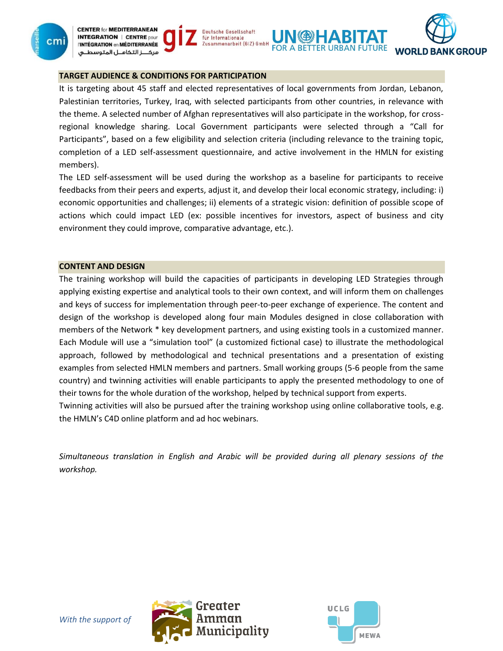





## **TARGET AUDIENCE & CONDITIONS FOR PARTICIPATION**

It is targeting about 45 staff and elected representatives of local governments from Jordan, Lebanon, Palestinian territories, Turkey, Iraq, with selected participants from other countries, in relevance with the theme. A selected number of Afghan representatives will also participate in the workshop, for crossregional knowledge sharing. Local Government participants were selected through a "Call for Participants", based on a few eligibility and selection criteria (including relevance to the training topic, completion of a LED self-assessment questionnaire, and active involvement in the HMLN for existing members).

**FOR A BETTER URBAN FUTURE** 

**Deutsche Gesellschaft** 

Zusammenarbeit (GIZ) GmbH

für Internationale

The LED self-assessment will be used during the workshop as a baseline for participants to receive feedbacks from their peers and experts, adjust it, and develop their local economic strategy, including: i) economic opportunities and challenges; ii) elements of a strategic vision: definition of possible scope of actions which could impact LED (ex: possible incentives for investors, aspect of business and city environment they could improve, comparative advantage, etc.).

#### **CONTENT AND DESIGN**

The training workshop will build the capacities of participants in developing LED Strategies through applying existing expertise and analytical tools to their own context, and will inform them on challenges and keys of success for implementation through peer-to-peer exchange of experience. The content and design of the workshop is developed along four main Modules designed in close collaboration with members of the Network \* key development partners, and using existing tools in a customized manner. Each Module will use a "simulation tool" (a customized fictional case) to illustrate the methodological approach, followed by methodological and technical presentations and a presentation of existing examples from selected HMLN members and partners. Small working groups (5-6 people from the same country) and twinning activities will enable participants to apply the presented methodology to one of their towns for the whole duration of the workshop, helped by technical support from experts. Twinning activities will also be pursued after the training workshop using online collaborative tools, e.g.

the HMLN's C4D online platform and ad hoc webinars.

*Simultaneous translation in English and Arabic will be provided during all plenary sessions of the workshop.*



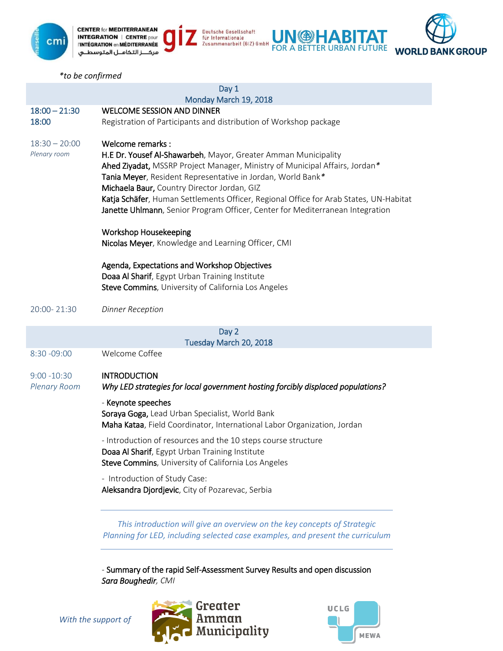

*\*to be confirmed*

|                          | Day 1                                                                                                                                         |
|--------------------------|-----------------------------------------------------------------------------------------------------------------------------------------------|
|                          | Monday March 19, 2018                                                                                                                         |
| $18:00 - 21:30$<br>18:00 | <b>WELCOME SESSION AND DINNER</b><br>Registration of Participants and distribution of Workshop package                                        |
|                          |                                                                                                                                               |
| $18:30 - 20:00$          | Welcome remarks:                                                                                                                              |
| Plenary room             | H.E Dr. Yousef Al-Shawarbeh, Mayor, Greater Amman Municipality<br>Ahed Ziyadat, MSSRP Project Manager, Ministry of Municipal Affairs, Jordan* |
|                          | Tania Meyer, Resident Representative in Jordan, World Bank*                                                                                   |
|                          | Michaela Baur, Country Director Jordan, GIZ                                                                                                   |
|                          | Katja Schäfer, Human Settlements Officer, Regional Office for Arab States, UN-Habitat                                                         |
|                          | Janette Uhlmann, Senior Program Officer, Center for Mediterranean Integration                                                                 |
|                          | Workshop Housekeeping                                                                                                                         |
|                          | Nicolas Meyer, Knowledge and Learning Officer, CMI                                                                                            |
|                          | Agenda, Expectations and Workshop Objectives                                                                                                  |
|                          | Doaa Al Sharif, Egypt Urban Training Institute                                                                                                |
|                          | Steve Commins, University of California Los Angeles                                                                                           |
| 20:00-21:30              | <b>Dinner Reception</b>                                                                                                                       |
|                          | Day 2                                                                                                                                         |
|                          | Tuesday March 20, 2018                                                                                                                        |
| 8:30 - 09:00             | Welcome Coffee                                                                                                                                |
| $9:00 - 10:30$           | <b>INTRODUCTION</b>                                                                                                                           |
| <b>Plenary Room</b>      | Why LED strategies for local government hosting forcibly displaced populations?                                                               |
|                          | - Keynote speeches                                                                                                                            |
|                          | Soraya Goga, Lead Urban Specialist, World Bank                                                                                                |
|                          | Maha Kataa, Field Coordinator, International Labor Organization, Jordan                                                                       |
|                          | - Introduction of resources and the 10 steps course structure                                                                                 |
|                          | Doaa Al Sharif, Egypt Urban Training Institute<br>Steve Commins, University of California Los Angeles                                         |
|                          | - Introduction of Study Case:                                                                                                                 |
|                          | Aleksandra Djordjevic, City of Pozarevac, Serbia                                                                                              |
|                          | This introduction will give an overview on the key concepts of Strategic                                                                      |
|                          | Planning for LED, including selected case examples, and present the curriculum                                                                |

Deutsche Gesellschaft<br>für Internationale<br>Zusammenarbeit (GIZ) GmbH

**UN BETTER URBAN FUTURE** 

**WORLD BANK GROUP** 

- Summary of the rapid Self-Assessment Survey Results and open discussion *Sara Boughedir, CMI*



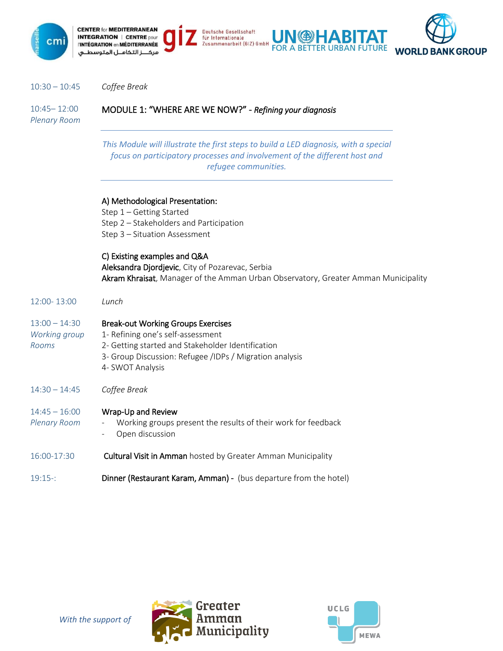

**CENTER for MEDITERRANEAN** Deutsche Gesellschaft **INTEGRATION | CENTRE pour** für Internationale Zusammenarbeit (GIZ) GmbH **"INTÉGRATION en MÉDITERRANÉE FOR A BETTER URBAN FUTURE** مركـــز التكامــل المتوسطــى



| $10:30 - 10:45$ | Coffee Break |
|-----------------|--------------|
|-----------------|--------------|

10:45– 12:00 *Plenary Room* MODULE 1: "WHERE ARE WE NOW?" - *Refining your diagnosis*

> *This Module will illustrate the first steps to build a LED diagnosis, with a special focus on participatory processes and involvement of the different host and refugee communities.*

|  |  | A) Methodological Presentation: |  |
|--|--|---------------------------------|--|
|  |  |                                 |  |

Step 1 – Getting Started Step 2 – Stakeholders and Participation Step 3 – Situation Assessment

C) Existing examples and Q&A

Aleksandra Djordjevic, City of Pozarevac, Serbia Akram Khraisat, Manager of the Amman Urban Observatory, Greater Amman Municipality

| $12:00 - 13:00$ | Lunch-        |
|-----------------|---------------|
| $13:00 - 14:30$ | <b>Break-</b> |

*Rooms*

#### 13:00 – 14:30 k-out Working Groups Exercises

- *Working group* 1- Refining one's self-assessment
	- 2- Getting started and Stakeholder Identification
		- 3- Group Discussion: Refugee /IDPs / Migration analysis
		- 4- SWOT Analysis
- 14:30 14:45 *Coffee Break*

| $14:45 - 16:00$ | Wrap-Up and Review |
|-----------------|--------------------|
|-----------------|--------------------|

- *Plenary Room* Working groups present the results of their work for feedback Open discussion
- 16:00-17:30 **Cultural Visit in Amman** hosted by Greater Amman Municipality
- 19:15-: Dinner (Restaurant Karam, Amman) (bus departure from the hotel)



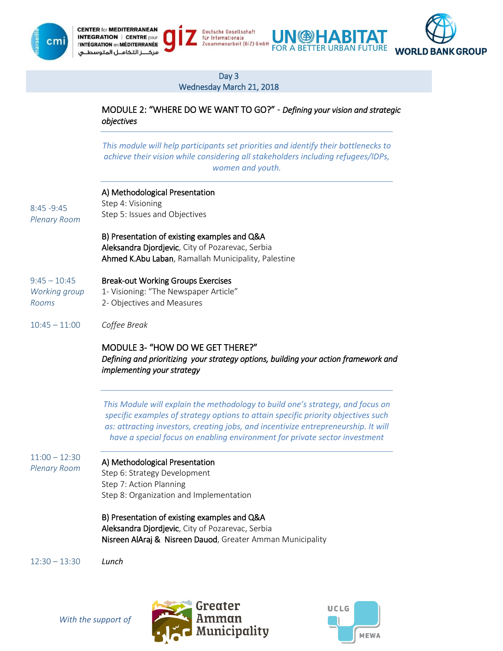



# Day 3

Deutsche Gesellschaft

Zusammenarbeit (GIZ) GmbH

für Internationale

Wednesday March 21, 2018

MODULE 2: "WHERE DO WE WANT TO GO?" - *Defining your vision and strategic objectives*

(4)

4 BI

*This module will help participants set priorities and identify their bottlenecks to achieve their vision while considering all stakeholders including refugees/IDPs, women and youth.*

| $8:45 - 9:45$<br><b>Plenary Room</b>     | A) Methodological Presentation<br>Step 4: Visioning<br>Step 5: Issues and Objectives                                                                                                                                                                                                                                                    |
|------------------------------------------|-----------------------------------------------------------------------------------------------------------------------------------------------------------------------------------------------------------------------------------------------------------------------------------------------------------------------------------------|
|                                          | B) Presentation of existing examples and Q&A<br>Aleksandra Djordjevic, City of Pozarevac, Serbia<br>Ahmed K.Abu Laban, Ramallah Municipality, Palestine                                                                                                                                                                                 |
| $9:45 - 10:45$<br>Working group<br>Rooms | <b>Break-out Working Groups Exercises</b><br>1- Visioning: "The Newspaper Article"<br>2- Objectives and Measures                                                                                                                                                                                                                        |
| $10:45 - 11:00$                          | Coffee Break                                                                                                                                                                                                                                                                                                                            |
|                                          | MODULE 3- "HOW DO WE GET THERE?"<br>Defining and prioritizing your strategy options, building your action framework and<br><i>implementing your strategy</i>                                                                                                                                                                            |
|                                          | This Module will explain the methodology to build one's strategy, and focus on<br>specific examples of strategy options to attain specific priority objectives such<br>as: attracting investors, creating jobs, and incentivize entrepreneurship. It will<br>have a special focus on enabling environment for private sector investment |
|                                          |                                                                                                                                                                                                                                                                                                                                         |

11:00 – 12:30 *Plenary Room*

# A) Methodological Presentation

Step 6: Strategy Development Step 7: Action Planning Step 8: Organization and Implementation

B) Presentation of existing examples and Q&A Aleksandra Djordjevic, City of Pozarevac, Serbia Nisreen AlAraj & Nisreen Dauod, Greater Amman Municipality

12:30 – 13:30 *Lunch*





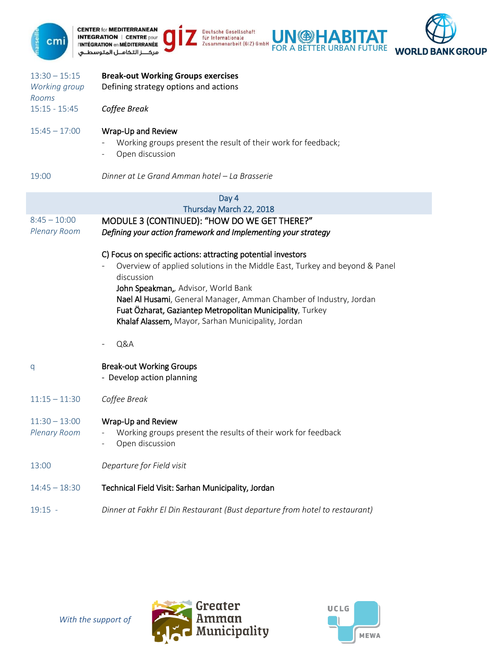



13:30 – 15:15 *Working group Rooms* **Break-out Working Groups exercises** Defining strategy options and actions 15:15 - 15:45 *Coffee Break* 15:45 – 17:00 Wrap-Up and Review Working groups present the result of their work for feedback; Open discussion 19:00 *Dinner at Le Grand Amman hotel – La Brasserie* Day 4 Thursday March 22, 2018 8:45 – 10:00 *Plenary Room* MODULE 3 (CONTINUED): "HOW DO WE GET THERE?" *Defining your action framework and Implementing your strategy* C) Focus on specific actions: attracting potential investors - Overview of applied solutions in the Middle East, Turkey and beyond & Panel discussion John Speakman,*,* Advisor, World Bank Nael Al Husami, General Manager, Amman Chamber of Industry, Jordan Fuat Özharat, Gaziantep Metropolitan Municipality, Turkey Khalaf Alassem, Mayor, Sarhan Municipality, Jordan - Q&A q Break-out Working Groups - Develop action planning 11:15 – 11:30 *Coffee Break* 11:30 – 13:00 *Plenary Room* Wrap-Up and Review Working groups present the results of their work for feedback Open discussion 13:00 *Departure for Field visit* 14:45 – 18:30 Technical Field Visit: Sarhan Municipality, Jordan 19:15 - *Dinner at Fakhr El Din Restaurant (Bust departure from hotel to restaurant)*

**Deutsche Gesellschaft** 

Zusammenarbeit (GIZ) GmbH

für Internationale



ABHAI

**WORLD BANK GROUP** 

**FOR A BETTER URBAN FUTURE**